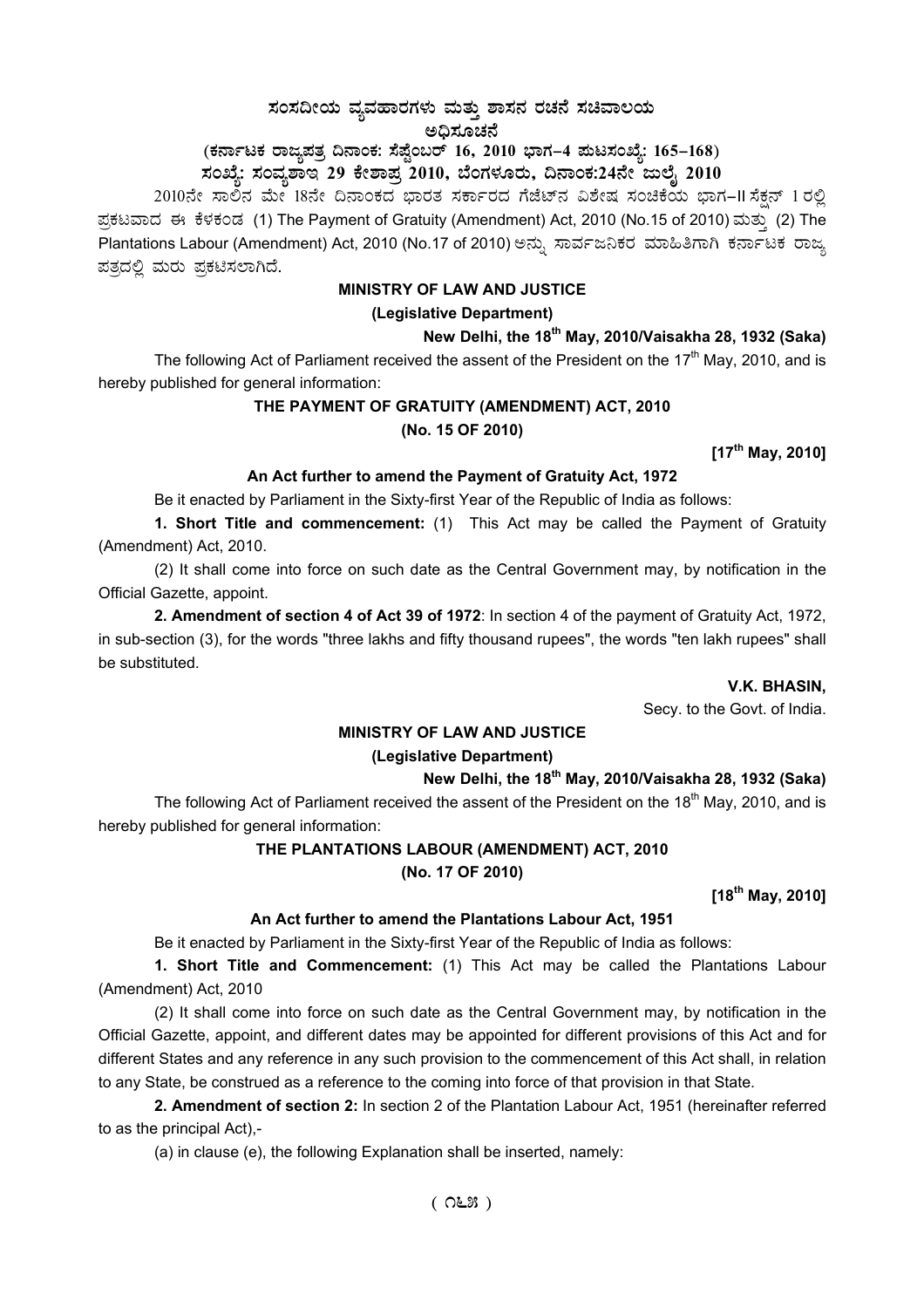# $\,$ ಸಂಸದೀಯ ವ್ಯವಹಾರಗಳು ಮತ್ತು ಶಾಸನ ರಚನೆ ಸಚಿವಾಲಯ

ಅಧಿಸೂಚನೆ

**(PÀ£ÁðlPÀ gÁdå¥ÀvÀæ ¢£ÁAPÀ: ¸É¥ÉÖA§gï 16, 2010 ¨sÁUÀ-4 ¥ÀÄl¸ÀASÉå: 165-168)** 

ಸಂಖ್ಯೆ: ಸಂವ್ಯಶಾಇ 29 ಕೇಶಾಪ್ರ 2010, ಬೆಂಗಳೂರು, ದಿನಾಂಕ:24ನೇ ಜುಲೈ 2010

2010ನೇ ಸಾಲಿನ ಮೇ 18ನೇ ದಿನಾಂಕದ ಭಾರತ ಸರ್ಕಾರದ ಗೆಜೆಟ್ನ ವಿಶೇಷ ಸಂಚಿಕೆಯ ಭಾಗ–II ಸೆಕ್ಷನ್ 1 ರಲ್ಲಿ ಪ್ರಕಟವಾದ ಈ ಕೆಳಕಂಡ (1) The Payment of Gratuity (Amendment) Act, 2010 (No.15 of 2010) ಮತ್ತು (2) The Plantations Labour (Amendment) Act, 2010 (No.17 of 2010) ಅನ್ನು ಸಾರ್ವಜನಿಕರ ಮಾಹಿತಿಗಾಗಿ ಕರ್ನಾಟಕ ರಾಜ್ಯ ಪತ್ರದಲ್ಲಿ ಮರು ಪ್ರಕಟಿಸಲಾಗಿದೆ.

#### **MINISTRY OF LAW AND JUSTICE**

### **(Legislative Department)**

**New Delhi, the 18th May, 2010/Vaisakha 28, 1932 (Saka)** 

The following Act of Parliament received the assent of the President on the  $17<sup>th</sup>$  May, 2010, and is hereby published for general information:

## **THE PAYMENT OF GRATUITY (AMENDMENT) ACT, 2010 (No. 15 OF 2010)**

**[17th May, 2010]** 

## **An Act further to amend the Payment of Gratuity Act, 1972**

Be it enacted by Parliament in the Sixty-first Year of the Republic of India as follows:

**1. Short Title and commencement:** (1) This Act may be called the Payment of Gratuity (Amendment) Act, 2010.

(2) It shall come into force on such date as the Central Government may, by notification in the Official Gazette, appoint.

**2. Amendment of section 4 of Act 39 of 1972**: In section 4 of the payment of Gratuity Act, 1972, in sub-section (3), for the words "three lakhs and fifty thousand rupees", the words "ten lakh rupees" shall be substituted.

#### **V.K. BHASIN,**

Secy. to the Govt. of India.

#### **MINISTRY OF LAW AND JUSTICE**

#### **(Legislative Department)**

## **New Delhi, the 18th May, 2010/Vaisakha 28, 1932 (Saka)**

The following Act of Parliament received the assent of the President on the 18<sup>th</sup> Mav. 2010, and is hereby published for general information:

## **THE PLANTATIONS LABOUR (AMENDMENT) ACT, 2010**

**(No. 17 OF 2010)** 

**[18th May, 2010]** 

#### **An Act further to amend the Plantations Labour Act, 1951**

Be it enacted by Parliament in the Sixty-first Year of the Republic of India as follows:

**1. Short Title and Commencement:** (1) This Act may be called the Plantations Labour (Amendment) Act, 2010

(2) It shall come into force on such date as the Central Government may, by notification in the Official Gazette, appoint, and different dates may be appointed for different provisions of this Act and for different States and any reference in any such provision to the commencement of this Act shall, in relation to any State, be construed as a reference to the coming into force of that provision in that State.

**2. Amendment of section 2:** In section 2 of the Plantation Labour Act, 1951 (hereinafter referred to as the principal Act),-

(a) in clause (e), the following Explanation shall be inserted, namely: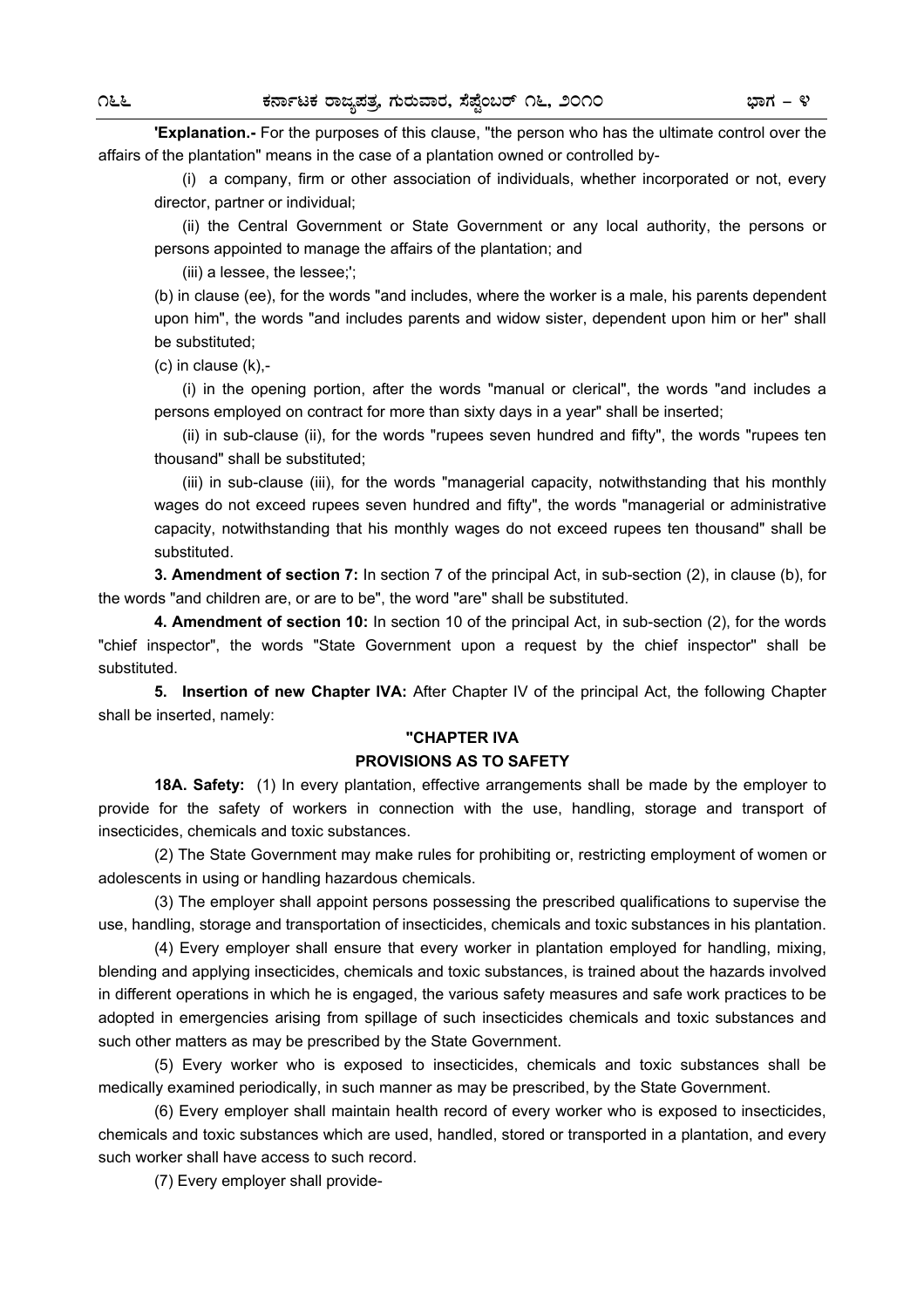**'Explanation.-** For the purposes of this clause, "the person who has the ultimate control over the affairs of the plantation" means in the case of a plantation owned or controlled by-

 (i) a company, firm or other association of individuals, whether incorporated or not, every director, partner or individual;

 (ii) the Central Government or State Government or any local authority, the persons or persons appointed to manage the affairs of the plantation; and

(iii) a lessee, the lessee;';

(b) in clause (ee), for the words "and includes, where the worker is a male, his parents dependent upon him", the words "and includes parents and widow sister, dependent upon him or her" shall be substituted;

(c) in clause (k),-

 (i) in the opening portion, after the words "manual or clerical", the words "and includes a persons employed on contract for more than sixty days in a year" shall be inserted;

 (ii) in sub-clause (ii), for the words "rupees seven hundred and fifty", the words "rupees ten thousand" shall be substituted;

 (iii) in sub-clause (iii), for the words "managerial capacity, notwithstanding that his monthly wages do not exceed rupees seven hundred and fifty", the words "managerial or administrative capacity, notwithstanding that his monthly wages do not exceed rupees ten thousand" shall be substituted.

**3. Amendment of section 7:** In section 7 of the principal Act, in sub-section (2), in clause (b), for the words "and children are, or are to be", the word "are" shall be substituted.

**4. Amendment of section 10:** In section 10 of the principal Act, in sub-section (2), for the words "chief inspector", the words "State Government upon a request by the chief inspector'' shall be substituted.

**5. Insertion of new Chapter IVA:** After Chapter IV of the principal Act, the following Chapter shall be inserted, namely:

#### **"CHAPTER IVA**

#### **PROVISIONS AS TO SAFETY**

**18A. Safety:** (1) In every plantation, effective arrangements shall be made by the employer to provide for the safety of workers in connection with the use, handling, storage and transport of insecticides, chemicals and toxic substances.

 (2) The State Government may make rules for prohibiting or, restricting employment of women or adolescents in using or handling hazardous chemicals.

 (3) The employer shall appoint persons possessing the prescribed qualifications to supervise the use, handling, storage and transportation of insecticides, chemicals and toxic substances in his plantation.

 (4) Every employer shall ensure that every worker in plantation employed for handling, mixing, blending and applying insecticides, chemicals and toxic substances, is trained about the hazards involved in different operations in which he is engaged, the various safety measures and safe work practices to be adopted in emergencies arising from spillage of such insecticides chemicals and toxic substances and such other matters as may be prescribed by the State Government.

 (5) Every worker who is exposed to insecticides, chemicals and toxic substances shall be medically examined periodically, in such manner as may be prescribed, by the State Government.

 (6) Every employer shall maintain health record of every worker who is exposed to insecticides, chemicals and toxic substances which are used, handled, stored or transported in a plantation, and every such worker shall have access to such record.

(7) Every employer shall provide-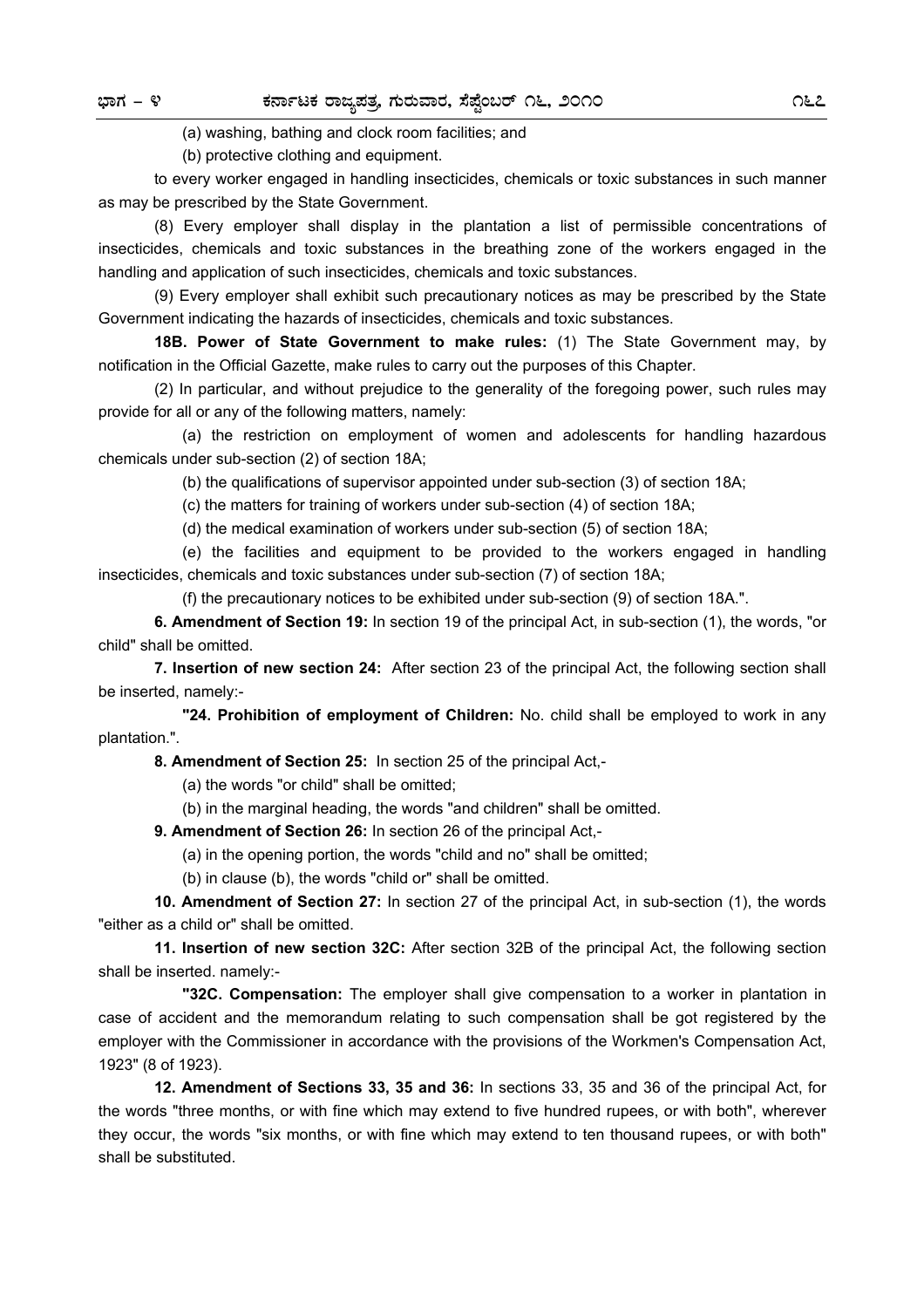(a) washing, bathing and clock room facilities; and

(b) protective clothing and equipment.

 to every worker engaged in handling insecticides, chemicals or toxic substances in such manner as may be prescribed by the State Government.

 (8) Every employer shall display in the plantation a list of permissible concentrations of insecticides, chemicals and toxic substances in the breathing zone of the workers engaged in the handling and application of such insecticides, chemicals and toxic substances.

 (9) Every employer shall exhibit such precautionary notices as may be prescribed by the State Government indicating the hazards of insecticides, chemicals and toxic substances.

**18B. Power of State Government to make rules:** (1) The State Government may, by notification in the Official Gazette, make rules to carry out the purposes of this Chapter.

 (2) In particular, and without prejudice to the generality of the foregoing power, such rules may provide for all or any of the following matters, namely:

 (a) the restriction on employment of women and adolescents for handling hazardous chemicals under sub-section (2) of section 18A;

(b) the qualifications of supervisor appointed under sub-section (3) of section 18A;

(c) the matters for training of workers under sub-section (4) of section 18A;

(d) the medical examination of workers under sub-section (5) of section 18A;

 (e) the facilities and equipment to be provided to the workers engaged in handling insecticides, chemicals and toxic substances under sub-section (7) of section 18A;

(f) the precautionary notices to be exhibited under sub-section (9) of section 18A.".

**6. Amendment of Section 19:** In section 19 of the principal Act, in sub-section (1), the words, "or child" shall be omitted.

**7. Insertion of new section 24:** After section 23 of the principal Act, the following section shall be inserted, namely:-

 **"24. Prohibition of employment of Children:** No. child shall be employed to work in any plantation.".

**8. Amendment of Section 25:** In section 25 of the principal Act,-

(a) the words "or child" shall be omitted;

(b) in the marginal heading, the words "and children" shall be omitted.

**9. Amendment of Section 26:** In section 26 of the principal Act,-

(a) in the opening portion, the words "child and no" shall be omitted;

(b) in clause (b), the words "child or" shall be omitted.

**10. Amendment of Section 27:** In section 27 of the principal Act, in sub-section (1), the words "either as a child or" shall be omitted.

**11. Insertion of new section 32C:** After section 32B of the principal Act, the following section shall be inserted. namely:-

 **"32C. Compensation:** The employer shall give compensation to a worker in plantation in case of accident and the memorandum relating to such compensation shall be got registered by the employer with the Commissioner in accordance with the provisions of the Workmen's Compensation Act, 1923" (8 of 1923).

**12. Amendment of Sections 33, 35 and 36:** In sections 33, 35 and 36 of the principal Act, for the words "three months, or with fine which may extend to five hundred rupees, or with both", wherever they occur, the words "six months, or with fine which may extend to ten thousand rupees, or with both" shall be substituted.